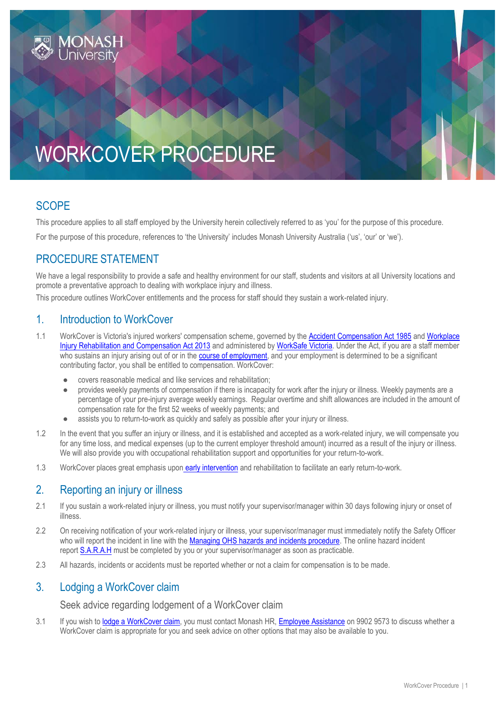

# WORKCOVER PROCEDURE

# **SCOPE**

This procedure applies to all staff employed by the University herein collectively referred to as 'you' for the purpose of this procedure.

For the purpose of this procedure, references to 'the University' includes Monash University Australia ('us', 'our' or 'we').

## PROCEDURE STATEMENT

We have a legal responsibility to provide a safe and healthy environment for our staff, students and visitors at all University locations and promote a preventative approach to dealing with workplace injury and illness.

This procedure outlines WorkCover entitlements and the process for staff should they sustain a work-related injury.

## 1. Introduction to WorkCover

- 1.1 WorkCover is Victoria's injured workers' compensation scheme, governed by the [Accident Compensation Act 1985](http://www.austlii.edu.au/au/legis/vic/consol_act/aca1985204/) and Workplace [Injury Rehabilitation and Compensation Act 2013](http://www.monash.edu/__data/assets/pdf_file/0007/690451/wirc-act-2013.pdf) and administered by [WorkSafe Victoria.](https://www.worksafe.vic.gov.au/) Under the Act, if you are a staff member who sustains an injury arising out of or in the [course of employment,](#page-3-0) and your employment is determined to be a significant contributing factor, you shall be entitled to compensation. WorkCover:
	- covers reasonable medical and like services and rehabilitation;
	- provides weekly payments of compensation if there is incapacity for work after the injury or illness. Weekly payments are a percentage of your pre-injury average weekly earnings. Regular overtime and shift allowances are included in the amount of compensation rate for the first 52 weeks of weekly payments; and
	- assists you to return-to-work as quickly and safely as possible after your injury or illness.
- 1.2 In the event that you suffer an injury or illness, and it is established and accepted as a work-related injury, we will compensate you for any time loss, and medical expenses (up to the current employer threshold amount) incurred as a result of the injury or illness. We will also provide you with occupational rehabilitation support and opportunities for your return-to-work.
- 1.3 WorkCover places great emphasis upon [early intervention](https://www.intranet.monash/hr/tools-and-resources/staff-resources/employee-assistance/early-intervention-ei-program) and rehabilitation to facilitate an early return-to-work.

## 2. Reporting an injury or illness

- 2.1 If you sustain a work-related injury or illness, you must notify your supervisor/manager within 30 days following injury or onset of illness.
- 2.2 On receiving notification of your work-related injury or illness, your supervisor/manager must immediately notify the Safety Officer who will report the incident in line with the [Managing OHS hazards and incidents procedure.](https://publicpolicydms.monash.edu/Monash/documents/1935623) The online hazard incident report [S.A.R.A.H](https://prod.riskcloud.net/?ccode=monash) must be completed by you or your supervisor/manager as soon as practicable.
- 2.3 All hazards, incidents or accidents must be reported whether or not a claim for compensation is to be made.

## 3. Lodging a WorkCover claim

Seek advice regarding lodgement of a WorkCover claim

3.1 If you wish to [lodge a WorkCover claim,](https://www.intranet.monash/hr/tools-and-resources/staff-resources/employee-assistance/workplace-injury-and-incidents) you must contact Monash HR, [Employee Assistance](https://www.intranet.monash/hr/tools-and-resources/staff-resources/employee-assistance) on 9902 9573 to discuss whether a WorkCover claim is appropriate for you and seek advice on other options that may also be available to you.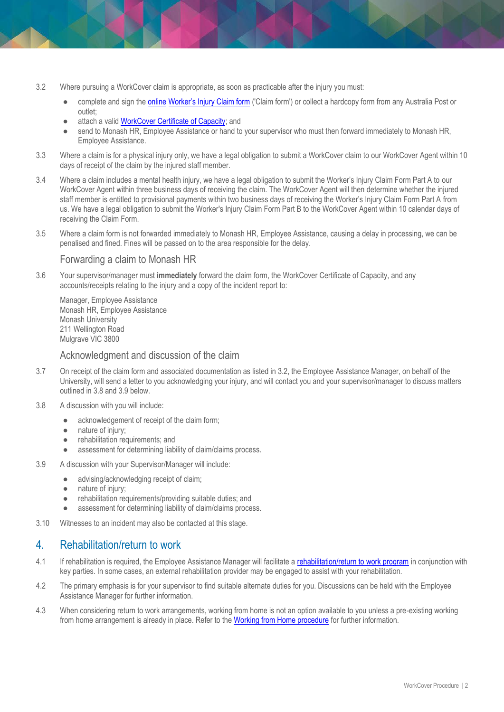- 3.2 Where pursuing a WorkCover claim is appropriate, as soon as practicable after the injury you must:
	- complete and sign th[e online](https://www.worksafe.vic.gov.au/resources/workers-injury-claim-form) [Worker's Injury Claim form](https://www.worksafe.vic.gov.au/resources/workers-injury-claim-form) ('Claim form') or collect a hardcopy form from any Australia Post or outlet;
	- attach a valid [WorkCover Certificate of Capacity;](https://www.worksafe.vic.gov.au/get-certificate-capacity) and
	- send to Monash HR, Employee Assistance or hand to your supervisor who must then forward immediately to Monash HR, Employee Assistance.
- 3.3 Where a claim is for a physical injury only, we have a legal obligation to submit a WorkCover claim to our WorkCover Agent within 10 days of receipt of the claim by the injured staff member.
- 3.4 Where a claim includes a mental health injury, we have a legal obligation to submit the Worker's Injury Claim Form Part A to our WorkCover Agent within three business days of receiving the claim. The WorkCover Agent will then determine whether the injured staff member is entitled to provisional payments within two business days of receiving the Worker's Injury Claim Form Part A from us. We have a legal obligation to submit the Worker's Injury Claim Form Part B to the WorkCover Agent within 10 calendar days of receiving the Claim Form.
- 3.5 Where a claim form is not forwarded immediately to Monash HR, Employee Assistance, causing a delay in processing, we can be penalised and fined. Fines will be passed on to the area responsible for the delay.

#### Forwarding a claim to Monash HR

3.6 Your supervisor/manager must **immediately** forward the claim form, the WorkCover Certificate of Capacity, and any accounts/receipts relating to the injury and a copy of the incident report to:

Manager, Employee Assistance Monash HR, Employee Assistance Monash University 211 Wellington Road Mulgrave VIC 3800

#### Acknowledgment and discussion of the claim

- 3.7 On receipt of the claim form and associated documentation as listed in 3.2, the Employee Assistance Manager, on behalf of the University, will send a letter to you acknowledging your injury, and will contact you and your supervisor/manager to discuss matters outlined in 3.8 and 3.9 below.
- 3.8 A discussion with you will include:
	- acknowledgement of receipt of the claim form;
	- nature of injury;
	- rehabilitation requirements; and
	- assessment for determining liability of claim/claims process.
- 3.9 A discussion with your Supervisor/Manager will include:
	- advising/acknowledging receipt of claim;
	- nature of injury;
	- rehabilitation requirements/providing suitable duties; and
	- assessment for determining liability of claim/claims process.
- 3.10 Witnesses to an incident may also be contacted at this stage.

## 4. Rehabilitation/return to work

- 4.1 If rehabilitation is required, the Employee Assistance Manager will facilitate a [rehabilitation/return to work program](https://www.intranet.monash/hr/tools-and-resources/staff-resources/employee-assistance/workplace-injury-and-incidents) in conjunction with key parties. In some cases, an external rehabilitation provider may be engaged to assist with your rehabilitation.
- 4.2 The primary emphasis is for your supervisor to find suitable alternate duties for you. Discussions can be held with the Employee Assistance Manager for further information.
- 4.3 When considering return to work arrangements, working from home is not an option available to you unless a pre-existing working from home arrangement is already in place. Refer to th[e Working from Home procedure](https://publicpolicydms.monash.edu/Monash/documents/1935739) for further information.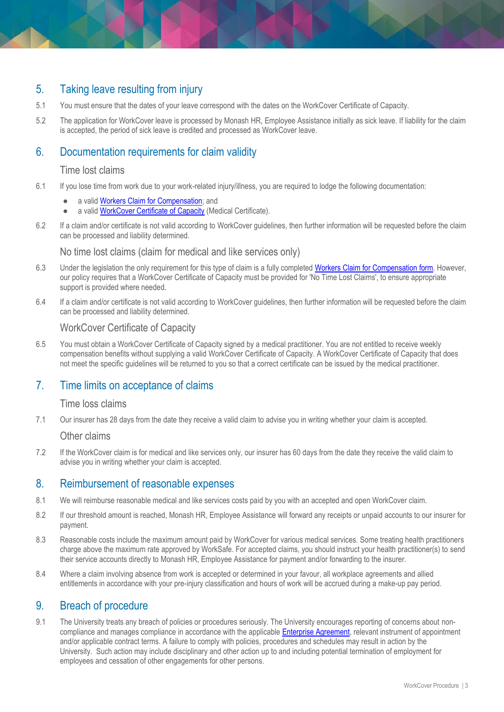# 5. Taking leave resulting from injury

- 5.1 You must ensure that the dates of your leave correspond with the dates on the WorkCover Certificate of Capacity.
- 5.2 The application for WorkCover leave is processed by Monash HR, Employee Assistance initially as sick leave. If liability for the claim is accepted, the period of sick leave is credited and processed as WorkCover leave.

## 6. Documentation requirements for claim validity

#### Time lost claims

- 6.1 If you lose time from work due to your work-related injury/illness, you are required to lodge the following documentation:
	- a valid [Workers Claim for Compensation;](https://www.worksafe.vic.gov.au/resources/workers-injury-claim-form) and
	- a valid [WorkCover Certificate of Capacity](https://www.worksafe.vic.gov.au/get-certificate-capacity) (Medical Certificate).
- 6.2 If a claim and/or certificate is not valid according to WorkCover guidelines, then further information will be requested before the claim can be processed and liability determined.

No time lost claims (claim for medical and like services only)

- 6.3 Under the legislation the only requirement for this type of claim is a fully completed [Workers Claim for Compensation](https://www.worksafe.vic.gov.au/resources/workers-injury-claim-form) form. However, our policy requires that a WorkCover Certificate of Capacity must be provided for 'No Time Lost Claims', to ensure appropriate support is provided where needed.
- 6.4 If a claim and/or certificate is not valid according to WorkCover guidelines, then further information will be requested before the claim can be processed and liability determined.

#### WorkCover Certificate of Capacity

6.5 You must obtain a WorkCover Certificate of Capacity signed by a medical practitioner. You are not entitled to receive weekly compensation benefits without supplying a valid WorkCover Certificate of Capacity. A WorkCover Certificate of Capacity that does not meet the specific guidelines will be returned to you so that a correct certificate can be issued by the medical practitioner.

### 7. Time limits on acceptance of claims

#### Time loss claims

7.1 Our insurer has 28 days from the date they receive a valid claim to advise you in writing whether your claim is accepted.

#### Other claims

7.2 If the WorkCover claim is for medical and like services only, our insurer has 60 days from the date they receive the valid claim to advise you in writing whether your claim is accepted.

### 8. Reimbursement of reasonable expenses

- 8.1 We will reimburse reasonable medical and like services costs paid by you with an accepted and open WorkCover claim.
- 8.2 If our threshold amount is reached, Monash HR, Employee Assistance will forward any receipts or unpaid accounts to our insurer for payment.
- 8.3 Reasonable costs include the maximum amount paid by WorkCover for various medical services. Some treating health practitioners charge above the maximum rate approved by WorkSafe. For accepted claims, you should instruct your health practitioner(s) to send their service accounts directly to Monash HR, Employee Assistance for payment and/or forwarding to the insurer.
- 8.4 Where a claim involving absence from work is accepted or determined in your favour, all workplace agreements and allied entitlements in accordance with your pre-injury classification and hours of work will be accrued during a make-up pay period.

### 9. Breach of procedure

9.1 The University treats any breach of policies or procedures seriously. The University encourages reporting of concerns about noncompliance and manages compliance in accordance with the applicabl[e Enterprise Agreement,](https://www.monash.edu/current-enterprise-agreements) relevant instrument of appointment and/or applicable contract terms. A failure to comply with policies, procedures and schedules may result in action by the University. Such action may include disciplinary and other action up to and including potential termination of employment for employees and cessation of other engagements for other persons.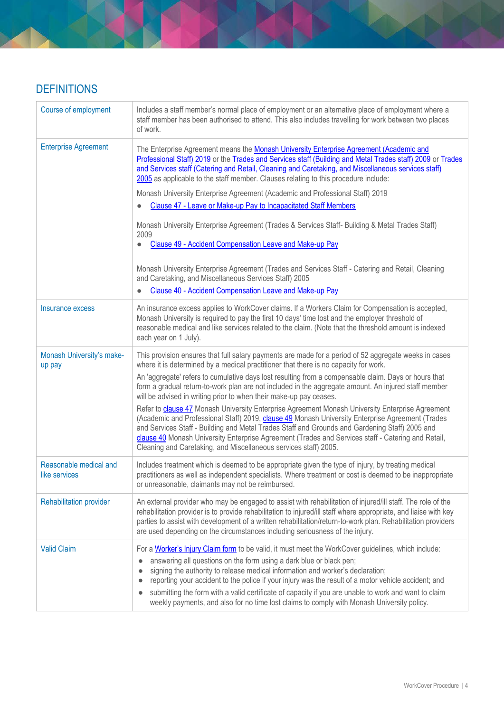# **DEFINITIONS**

<span id="page-3-0"></span>

| Course of employment                    | Includes a staff member's normal place of employment or an alternative place of employment where a<br>staff member has been authorised to attend. This also includes travelling for work between two places<br>of work.                                                                                                                                                                                                                                                                                                                                                    |
|-----------------------------------------|----------------------------------------------------------------------------------------------------------------------------------------------------------------------------------------------------------------------------------------------------------------------------------------------------------------------------------------------------------------------------------------------------------------------------------------------------------------------------------------------------------------------------------------------------------------------------|
| <b>Enterprise Agreement</b>             | The Enterprise Agreement means the Monash University Enterprise Agreement (Academic and<br>Professional Staff) 2019 or the Trades and Services staff (Building and Metal Trades staff) 2009 or Trades<br>and Services staff (Catering and Retail, Cleaning and Caretaking, and Miscellaneous services staff)<br>2005 as applicable to the staff member. Clauses relating to this procedure include:                                                                                                                                                                        |
|                                         | Monash University Enterprise Agreement (Academic and Professional Staff) 2019                                                                                                                                                                                                                                                                                                                                                                                                                                                                                              |
|                                         | Clause 47 - Leave or Make-up Pay to Incapacitated Staff Members                                                                                                                                                                                                                                                                                                                                                                                                                                                                                                            |
|                                         | Monash University Enterprise Agreement (Trades & Services Staff- Building & Metal Trades Staff)<br>2009<br>Clause 49 - Accident Compensation Leave and Make-up Pay                                                                                                                                                                                                                                                                                                                                                                                                         |
|                                         | Monash University Enterprise Agreement (Trades and Services Staff - Catering and Retail, Cleaning<br>and Caretaking, and Miscellaneous Services Staff) 2005                                                                                                                                                                                                                                                                                                                                                                                                                |
|                                         | Clause 40 - Accident Compensation Leave and Make-up Pay                                                                                                                                                                                                                                                                                                                                                                                                                                                                                                                    |
| Insurance excess                        | An insurance excess applies to WorkCover claims. If a Workers Claim for Compensation is accepted,<br>Monash University is required to pay the first 10 days' time lost and the employer threshold of<br>reasonable medical and like services related to the claim. (Note that the threshold amount is indexed<br>each year on 1 July).                                                                                                                                                                                                                                     |
| Monash University's make-<br>up pay     | This provision ensures that full salary payments are made for a period of 52 aggregate weeks in cases<br>where it is determined by a medical practitioner that there is no capacity for work.                                                                                                                                                                                                                                                                                                                                                                              |
|                                         | An 'aggregate' refers to cumulative days lost resulting from a compensable claim. Days or hours that<br>form a gradual return-to-work plan are not included in the aggregate amount. An injured staff member<br>will be advised in writing prior to when their make-up pay ceases.                                                                                                                                                                                                                                                                                         |
|                                         | Refer to clause 47 Monash University Enterprise Agreement Monash University Enterprise Agreement<br>(Academic and Professional Staff) 2019, clause 49 Monash University Enterprise Agreement (Trades<br>and Services Staff - Building and Metal Trades Staff and Grounds and Gardening Staff) 2005 and<br>clause 40 Monash University Enterprise Agreement (Trades and Services staff - Catering and Retail,<br>Cleaning and Caretaking, and Miscellaneous services staff) 2005.                                                                                           |
| Reasonable medical and<br>like services | Includes treatment which is deemed to be appropriate given the type of injury, by treating medical<br>practitioners as well as independent specialists. Where treatment or cost is deemed to be inappropriate<br>or unreasonable, claimants may not be reimbursed.                                                                                                                                                                                                                                                                                                         |
| Rehabilitation provider                 | An external provider who may be engaged to assist with rehabilitation of injured/ill staff. The role of the<br>rehabilitation provider is to provide rehabilitation to injured/ill staff where appropriate, and liaise with key<br>parties to assist with development of a written rehabilitation/return-to-work plan. Rehabilitation providers<br>are used depending on the circumstances including seriousness of the injury.                                                                                                                                            |
| <b>Valid Claim</b>                      | For a Worker's Injury Claim form to be valid, it must meet the WorkCover guidelines, which include:<br>answering all questions on the form using a dark blue or black pen;<br>signing the authority to release medical information and worker's declaration;<br>reporting your accident to the police if your injury was the result of a motor vehicle accident; and<br>submitting the form with a valid certificate of capacity if you are unable to work and want to claim<br>weekly payments, and also for no time lost claims to comply with Monash University policy. |